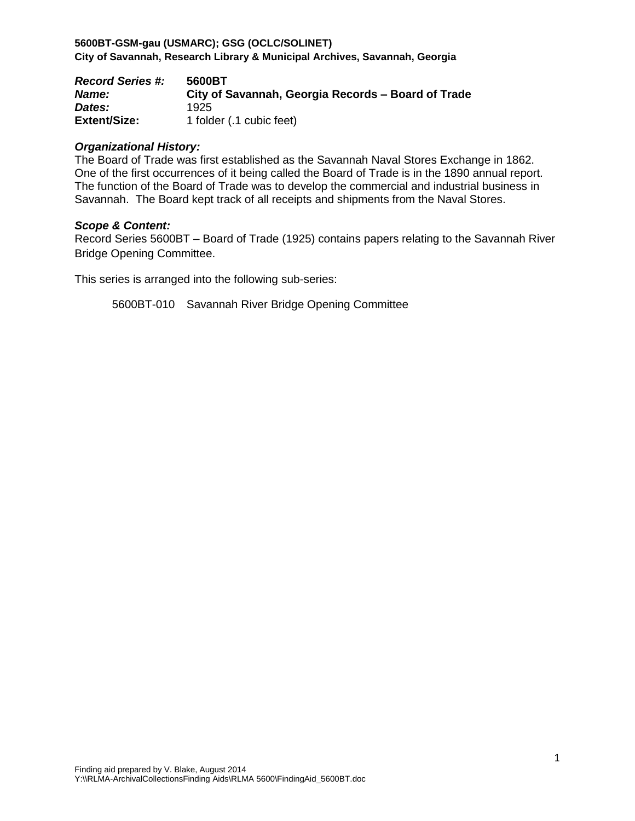**5600BT-GSM-gau (USMARC); GSG (OCLC/SOLINET) City of Savannah, Research Library & Municipal Archives, Savannah, Georgia**

| <b>Record Series #:</b> | 5600BT                                             |
|-------------------------|----------------------------------------------------|
| <b>Name:</b>            | City of Savannah, Georgia Records – Board of Trade |
| Dates:                  | 1925                                               |
| <b>Extent/Size:</b>     | 1 folder (.1 cubic feet)                           |

### *Organizational History:*

The Board of Trade was first established as the Savannah Naval Stores Exchange in 1862. One of the first occurrences of it being called the Board of Trade is in the 1890 annual report. The function of the Board of Trade was to develop the commercial and industrial business in Savannah. The Board kept track of all receipts and shipments from the Naval Stores.

#### *Scope & Content:*

Record Series 5600BT – Board of Trade (1925) contains papers relating to the Savannah River Bridge Opening Committee.

This series is arranged into the following sub-series:

5600BT-010 Savannah River Bridge Opening Committee